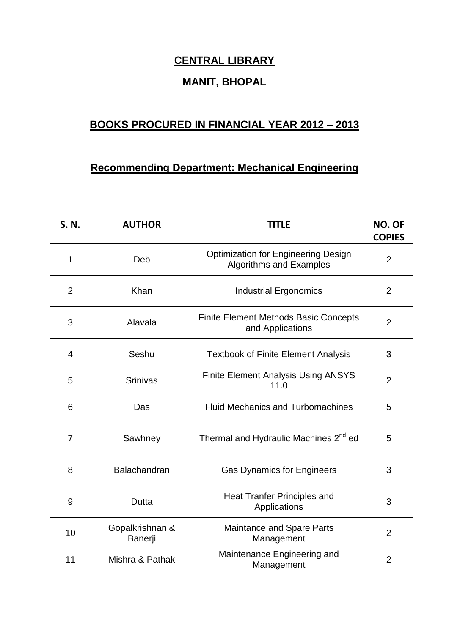## **CENTRAL LIBRARY**

## **MANIT, BHOPAL**

## **BOOKS PROCURED IN FINANCIAL YEAR 2012 – 2013**

## **Recommending Department: Mechanical Engineering**

| <b>S. N.</b>   | <b>AUTHOR</b>              | <b>TITLE</b>                                                                 | <b>NO. OF</b><br><b>COPIES</b> |
|----------------|----------------------------|------------------------------------------------------------------------------|--------------------------------|
| 1              | Deb                        | <b>Optimization for Engineering Design</b><br><b>Algorithms and Examples</b> | $\overline{2}$                 |
| 2              | Khan                       | <b>Industrial Ergonomics</b>                                                 | 2                              |
| 3              | Alavala                    | <b>Finite Element Methods Basic Concepts</b><br>and Applications             | $\overline{2}$                 |
| 4              | Seshu                      | <b>Textbook of Finite Element Analysis</b>                                   | 3                              |
| 5              | <b>Srinivas</b>            | Finite Element Analysis Using ANSYS<br>11.0                                  | $\overline{2}$                 |
| 6              | Das                        | <b>Fluid Mechanics and Turbomachines</b>                                     | 5                              |
| $\overline{7}$ | Sawhney                    | Thermal and Hydraulic Machines 2 <sup>nd</sup> ed                            | 5                              |
| 8              | <b>Balachandran</b>        | <b>Gas Dynamics for Engineers</b>                                            | 3                              |
| 9              | Dutta                      | <b>Heat Tranfer Principles and</b><br>Applications                           | 3                              |
| 10             | Gopalkrishnan &<br>Banerji | <b>Maintance and Spare Parts</b><br>Management                               | $\overline{2}$                 |
| 11             | Mishra & Pathak            | Maintenance Engineering and<br>Management                                    | $\overline{2}$                 |